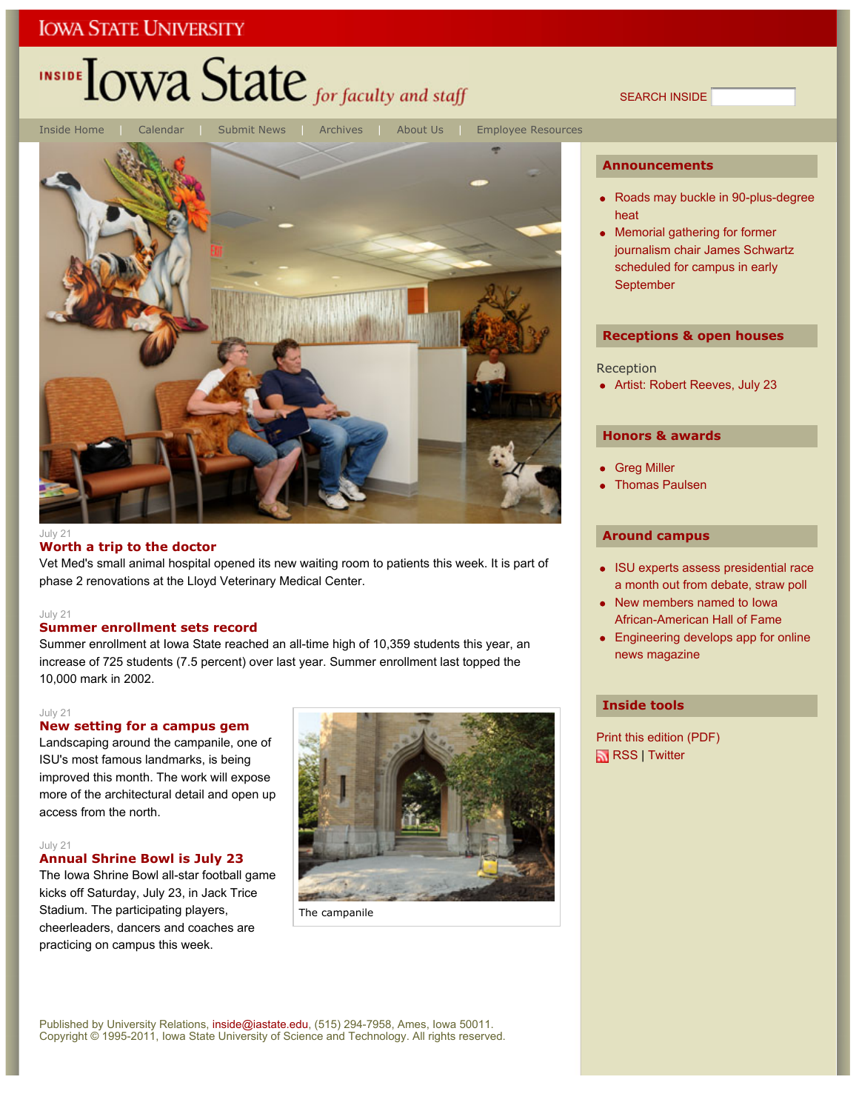## **IOWA STATE UNIVERSITY**

# INSIDE **LOWA State** for faculty and staff

SEARCH INSIDE



#### $J$ uly 21

### **Worth a trip to the doctor**

Vet Med's small animal hospital opened its new waiting room to patients this week. It is part of phase 2 renovations at the Lloyd Veterinary Medical Center.

### July 21

## **Summer enrollment sets record**

Summer enrollment at Iowa State reached an all-time high of 10,359 students this year, an increase of 725 students (7.5 percent) over last year. Summer enrollment last topped the 10,000 mark in 2002.

#### July 21

### **New setting for a campus gem**

Landscaping around the campanile, one of ISU's most famous landmarks, is being improved this month. The work will expose more of the architectural detail and open up access from the north.

### July 21

## **Annual Shrine Bowl is July 23**

The Iowa Shrine Bowl all-star football game kicks off Saturday, July 23, in Jack Trice Stadium. The participating players, cheerleaders, dancers and coaches are practicing on campus this week.



The campanile

### **Announcements**

- Roads may buckle in 90-plus-degree heat
- Memorial gathering for former journalism chair James Schwartz scheduled for campus in early September

### **Receptions & open houses**

Reception

• Artist: Robert Reeves, July 23

## **Honors & awards**

- Greg Miller
- Thomas Paulsen

### **Around campus**

- ISU experts assess presidential race a month out from debate, straw poll
- New members named to lowa African-American Hall of Fame
- Engineering develops app for online news magazine

## **Inside tools**

Print this edition (PDF) RSS | Twitter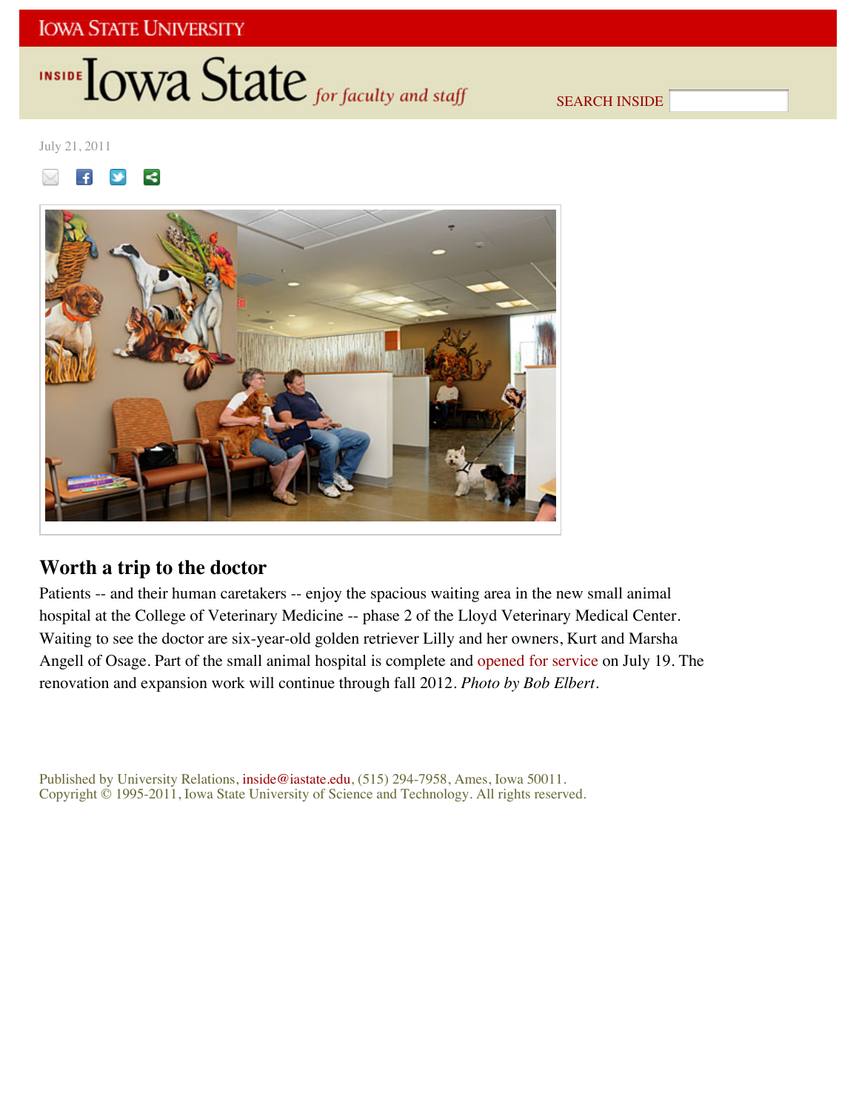## **IOWA STATE UNIVERSITY**

# INSIDE **IOWA State** for faculty and staff

SEARCH INSIDE

July 21, 2011





## **Worth a trip to the doctor**

Patients -- and their human caretakers -- enjoy the spacious waiting area in the new small animal hospital at the College of Veterinary Medicine -- phase 2 of the Lloyd Veterinary Medical Center. Waiting to see the doctor are six-year-old golden retriever Lilly and her owners, Kurt and Marsha Angell of Osage. Part of the small animal hospital is complete and opened for service on July 19. The renovation and expansion work will continue through fall 2012. *Photo by Bob Elbert*.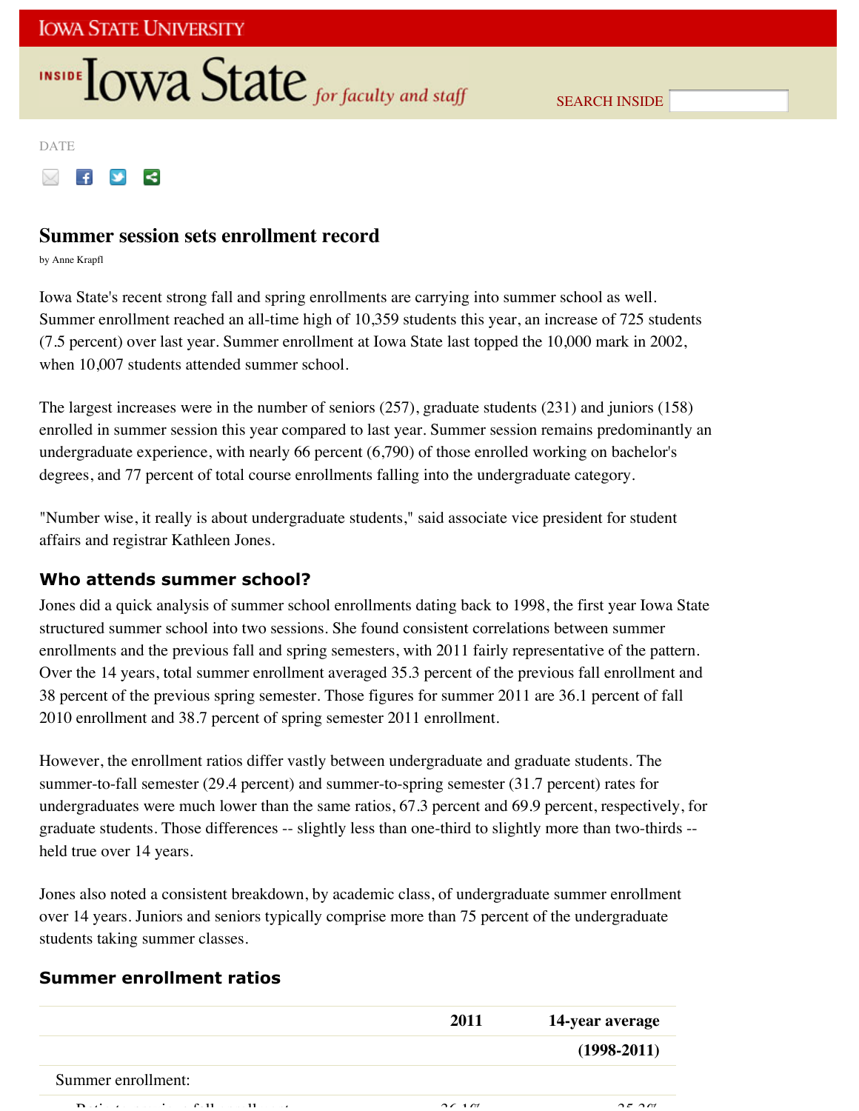# **INSIDE TOWA State** for faculty and staff

SEARCH INSIDE

DATE

#### $\vee$  $\prec$  $\mathbf{f}$

## **Summer session sets enrollment record**

by Anne Krapfl

Iowa State's recent strong fall and spring enrollments are carrying into summer school as well. Summer enrollment reached an all-time high of 10,359 students this year, an increase of 725 students (7.5 percent) over last year. Summer enrollment at Iowa State last topped the 10,000 mark in 2002, when 10,007 students attended summer school.

The largest increases were in the number of seniors (257), graduate students (231) and juniors (158) enrolled in summer session this year compared to last year. Summer session remains predominantly an undergraduate experience, with nearly 66 percent (6,790) of those enrolled working on bachelor's degrees, and 77 percent of total course enrollments falling into the undergraduate category.

"Number wise, it really is about undergraduate students," said associate vice president for student affairs and registrar Kathleen Jones.

## **Who attends summer school?**

Jones did a quick analysis of summer school enrollments dating back to 1998, the first year Iowa State structured summer school into two sessions. She found consistent correlations between summer enrollments and the previous fall and spring semesters, with 2011 fairly representative of the pattern. Over the 14 years, total summer enrollment averaged 35.3 percent of the previous fall enrollment and 38 percent of the previous spring semester. Those figures for summer 2011 are 36.1 percent of fall 2010 enrollment and 38.7 percent of spring semester 2011 enrollment.

However, the enrollment ratios differ vastly between undergraduate and graduate students. The summer-to-fall semester (29.4 percent) and summer-to-spring semester (31.7 percent) rates for undergraduates were much lower than the same ratios, 67.3 percent and 69.9 percent, respectively, for graduate students. Those differences -- slightly less than one-third to slightly more than two-thirds - held true over 14 years.

Jones also noted a consistent breakdown, by academic class, of undergraduate summer enrollment over 14 years. Juniors and seniors typically comprise more than 75 percent of the undergraduate students taking summer classes.

## **Summer enrollment ratios**

|                                                                                              | 2011                           | 14-year average      |
|----------------------------------------------------------------------------------------------|--------------------------------|----------------------|
|                                                                                              |                                | $(1998-2011)$        |
| Summer enrollment:                                                                           |                                |                      |
| $\mathbf{r}$ $\mathbf{r}$<br>$C_{11}$<br>the contract of the contract of the<br>11<br>$\sim$ | $\gamma$ $\epsilon$ 1 $\gamma$ | $\cap$ $\cap$ $\cap$ |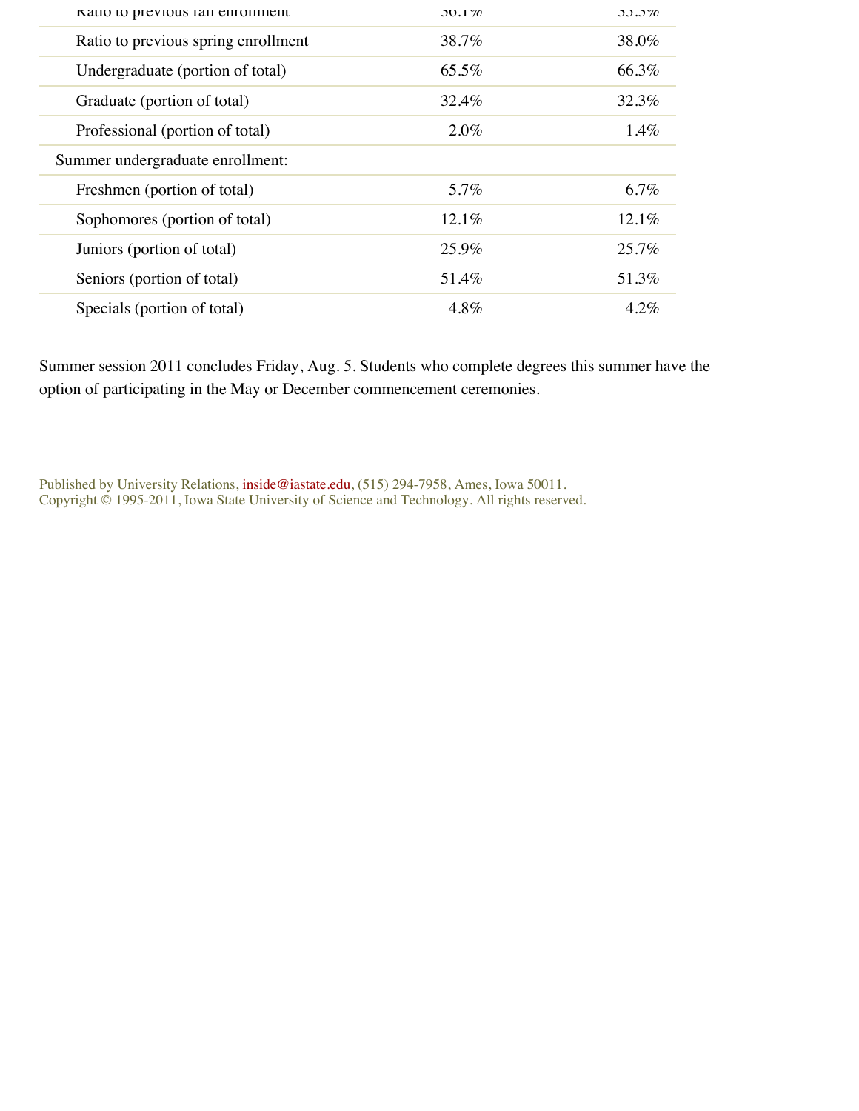| Katio to previous fail enrollment   | $30.1\%$ | $33.3\%$ |
|-------------------------------------|----------|----------|
| Ratio to previous spring enrollment | 38.7%    | 38.0%    |
| Undergraduate (portion of total)    | 65.5%    | 66.3%    |
| Graduate (portion of total)         | 32.4%    | 32.3%    |
| Professional (portion of total)     | $2.0\%$  | $1.4\%$  |
| Summer undergraduate enrollment:    |          |          |
| Freshmen (portion of total)         | 5.7%     | 6.7%     |
| Sophomores (portion of total)       | 12.1%    | 12.1%    |
| Juniors (portion of total)          | 25.9%    | 25.7%    |
| Seniors (portion of total)          | 51.4%    | 51.3%    |
| Specials (portion of total)         | 4.8%     | $4.2\%$  |

Summer session 2011 concludes Friday, Aug. 5. Students who complete degrees this summer have the option of participating in the May or December commencement ceremonies.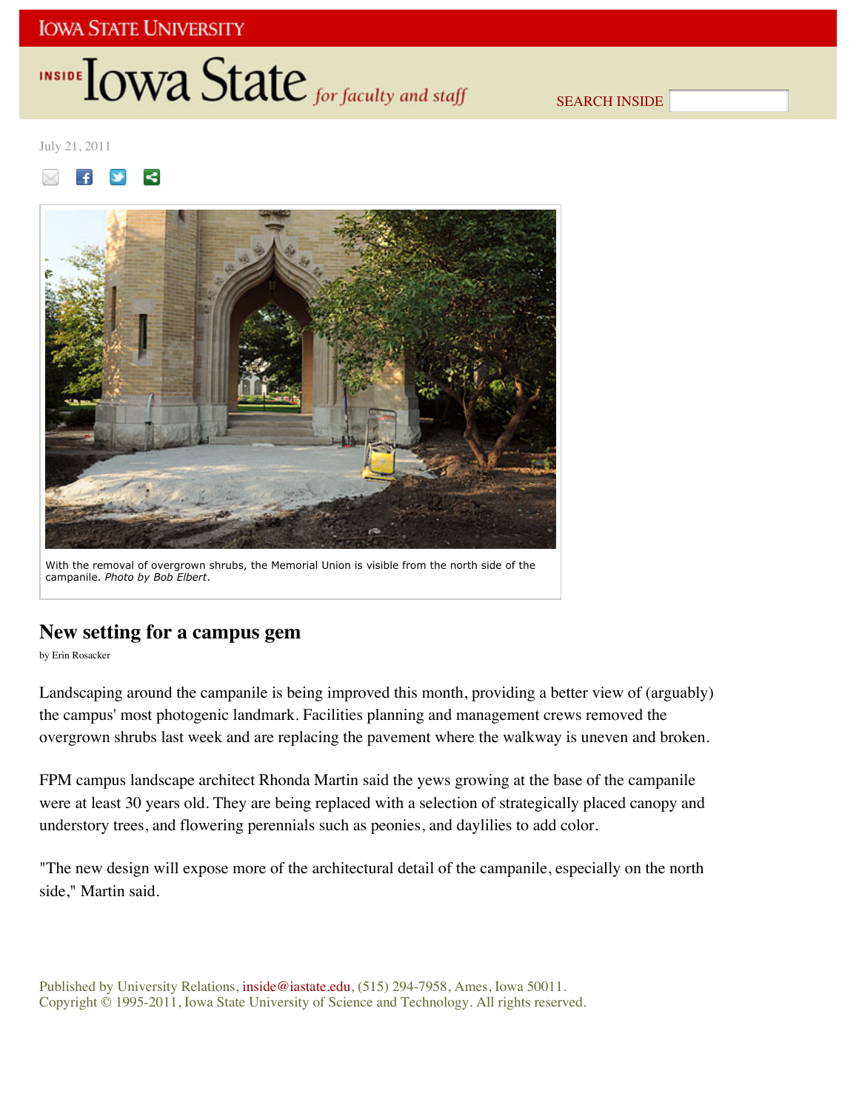## **IOWA STATE UNIVERSITY**

# INSIDE **LOWA State** for faculty and staff

SEARCH INSIDE

July 21, 2011





With the removal of overgrown shrubs, the Memorial Union is visible from the north side of the campanile. *Photo by Bob Elbert*.

## **New setting for a campus gem**

by Erin Rosacker

Landscaping around the campanile is being improved this month, providing a better view of (arguably) the campus' most photogenic landmark. Facilities planning and management crews removed the overgrown shrubs last week and are replacing the pavement where the walkway is uneven and broken.

FPM campus landscape architect Rhonda Martin said the yews growing at the base of the campanile were at least 30 years old. They are being replaced with a selection of strategically placed canopy and understory trees, and flowering perennials such as peonies, and daylilies to add color.

"The new design will expose more of the architectural detail of the campanile, especially on the north side," Martin said.